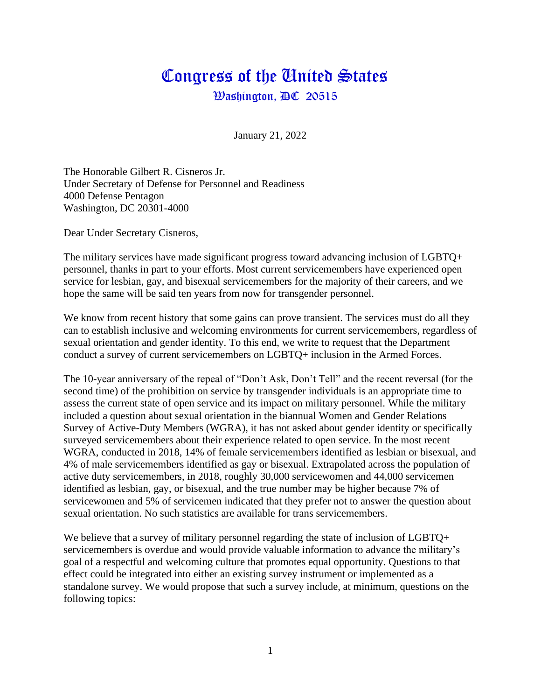## Congress of the Gnited States  $\mathcal{B}$ ashington,  $\mathbb{D}\mathbb{C}$  20515

January 21, 2022

The Honorable Gilbert R. Cisneros Jr. Under Secretary of Defense for Personnel and Readiness 4000 Defense Pentagon Washington, DC 20301-4000

Dear Under Secretary Cisneros,

The military services have made significant progress toward advancing inclusion of LGBTQ+ personnel, thanks in part to your efforts. Most current servicemembers have experienced open service for lesbian, gay, and bisexual servicemembers for the majority of their careers, and we hope the same will be said ten years from now for transgender personnel.

We know from recent history that some gains can prove transient. The services must do all they can to establish inclusive and welcoming environments for current servicemembers, regardless of sexual orientation and gender identity. To this end, we write to request that the Department conduct a survey of current servicemembers on LGBTQ+ inclusion in the Armed Forces.

The 10-year anniversary of the repeal of "Don't Ask, Don't Tell" and the recent reversal (for the second time) of the prohibition on service by transgender individuals is an appropriate time to assess the current state of open service and its impact on military personnel. While the military included a question about sexual orientation in the biannual Women and Gender Relations Survey of Active-Duty Members (WGRA), it has not asked about gender identity or specifically surveyed servicemembers about their experience related to open service. In the most recent WGRA, conducted in 2018, 14% of female servicemembers identified as lesbian or bisexual, and 4% of male servicemembers identified as gay or bisexual. Extrapolated across the population of active duty servicemembers, in 2018, roughly 30,000 servicewomen and 44,000 servicemen identified as lesbian, gay, or bisexual, and the true number may be higher because 7% of servicewomen and 5% of servicemen indicated that they prefer not to answer the question about sexual orientation. No such statistics are available for trans servicemembers.

We believe that a survey of military personnel regarding the state of inclusion of LGBTQ+ servicemembers is overdue and would provide valuable information to advance the military's goal of a respectful and welcoming culture that promotes equal opportunity. Questions to that effect could be integrated into either an existing survey instrument or implemented as a standalone survey. We would propose that such a survey include, at minimum, questions on the following topics: